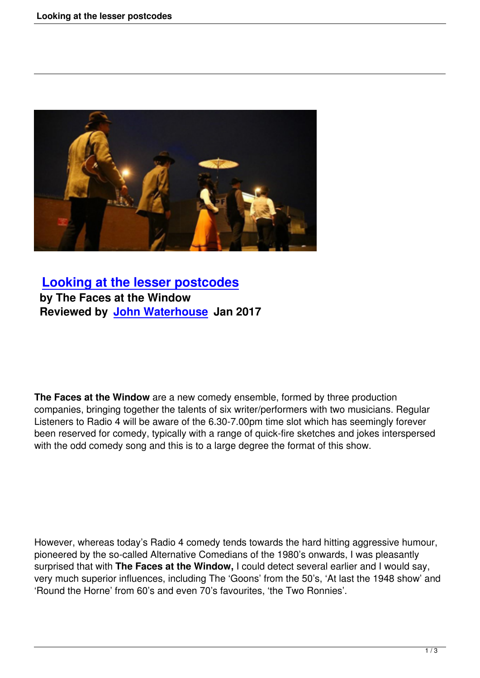

## **Looking at the lesser postcodes by The Faces at the Window [Reviewed by John Waterhouse Jan 2](looking-at-the-lesser-postcodes.html)017**

**The Faces at the Window** are a new comedy ensemble, formed by three production companies, bringing together the talents of six writer/performers with two musicians. Regular Listeners to Radio 4 will be aware of the 6.30-7.00pm time slot which has seemingly forever been reserved for comedy, typically with a range of quick-fire sketches and jokes interspersed with the odd comedy song and this is to a large degree the format of this show.

However, whereas today's Radio 4 comedy tends towards the hard hitting aggressive humour, pioneered by the so-called Alternative Comedians of the 1980's onwards, I was pleasantly surprised that with **The Faces at the Window,** I could detect several earlier and I would say, very much superior influences, including The 'Goons' from the 50's, 'At last the 1948 show' and 'Round the Horne' from 60's and even 70's favourites, 'the Two Ronnies'.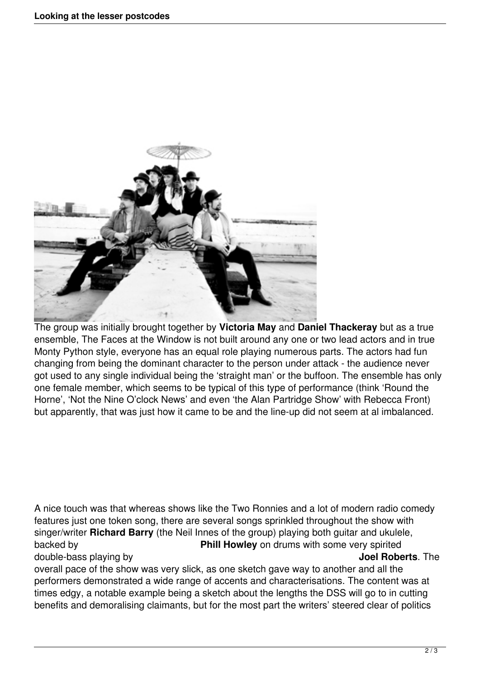

The group was initially brought together by **Victoria May** and **Daniel Thackeray** but as a true ensemble, The Faces at the Window is not built around any one or two lead actors and in true Monty Python style, everyone has an equal role playing numerous parts. The actors had fun changing from being the dominant character to the person under attack - the audience never got used to any single individual being the 'straight man' or the buffoon. The ensemble has only one female member, which seems to be typical of this type of performance (think 'Round the Horne', 'Not the Nine O'clock News' and even 'the Alan Partridge Show' with Rebecca Front) but apparently, that was just how it came to be and the line-up did not seem at al imbalanced.

A nice touch was that whereas shows like the Two Ronnies and a lot of modern radio comedy features just one token song, there are several songs sprinkled throughout the show with singer/writer **Richard Barry** (the Neil Innes of the group) playing both guitar and ukulele, backed by **Phill Howley** on drums with some very spirited double-bass playing by **Joel Roberts**. The

overall pace of the show was very slick, as one sketch gave way to another and all the performers demonstrated a wide range of accents and characterisations. The content was at times edgy, a notable example being a sketch about the lengths the DSS will go to in cutting benefits and demoralising claimants, but for the most part the writers' steered clear of politics